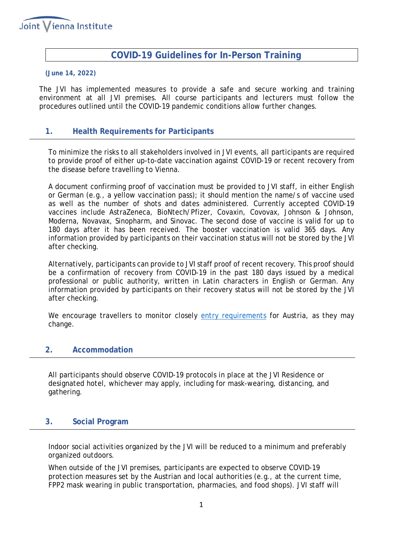

# **COVID-19 Guidelines for In-Person Training**

#### **(June 14, 2022)**

The JVI has implemented measures to provide a safe and secure working and training environment at all JVI premises. All course participants and lecturers must follow the procedures outlined until the COVID-19 pandemic conditions allow further changes.

### **1. Health Requirements for Participants**

To minimize the risks to all stakeholders involved in JVI events, all participants are required to provide proof of either up-to-date vaccination against COVID-19 or recent recovery from the disease before travelling to Vienna.

A document confirming proof of vaccination must be provided to JVI staff, in either English or German (e.g., a yellow vaccination pass); it should mention the name/s of vaccine used as well as the number of shots and dates administered. Currently accepted COVID-19 vaccines include AstraZeneca, BioNtech/Pfizer, Covaxin, Covovax, Johnson & Johnson, Moderna, Novavax, Sinopharm, and Sinovac. The second dose of vaccine is valid for up to 180 days after it has been received. The booster vaccination is valid 365 days. Any information provided by participants on their vaccination status will not be stored by the JVI after checking.

Alternatively, participants can provide to JVI staff proof of recent recovery. This proof should be a confirmation of recovery from COVID-19 in the past 180 days issued by a medical professional or public authority, written in Latin characters in English or German. Any information provided by participants on their recovery status will not be stored by the JVI after checking.

We encourage travellers to monitor closely [entry requirements](https://www.oesterreich.gv.at/en/themen/coronavirus_in_oesterreich/pre-travel-clearance.html) for Austria, as they may change.

### **2. Accommodation**

All participants should observe COVID-19 protocols in place at the JVI Residence or designated hotel, whichever may apply, including for mask-wearing, distancing, and gathering.

### **3. Social Program**

Indoor social activities organized by the JVI will be reduced to a minimum and preferably organized outdoors.

When outside of the JVI premises, participants are expected to observe COVID-19 protection measures set by the Austrian and local authorities (e.g., at the current time, FPP2 mask wearing in public transportation, pharmacies, and food shops). JVI staff will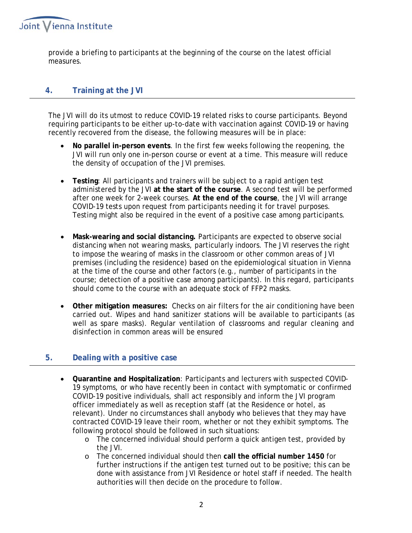

provide a briefing to participants at the beginning of the course on the latest official measures.

## **4. Training at the JVI**

The JVI will do its utmost to reduce COVID-19 related risks to course participants. Beyond requiring participants to be either up-to-date with vaccination against COVID-19 or having recently recovered from the disease, the following measures will be in place:

- **No parallel in-person events**. In the first few weeks following the reopening, the JVI will run only one in-person course or event at a time. This measure will reduce the density of occupation of the JVI premises.
- **Testing**: All participants and trainers will be subject to a rapid antigen test administered by the JVI **at the start of the course**. A second test will be performed after one week for 2-week courses. **At the end of the course**, the JVI will arrange COVID-19 tests upon request from participants needing it for travel purposes. Testing might also be required in the event of a positive case among participants.
- **Mask-wearing and social distancing.** Participants are expected to observe social distancing when not wearing masks, particularly indoors. The JVI reserves the right to impose the wearing of masks in the classroom or other common areas of JVI premises (including the residence) based on the epidemiological situation in Vienna at the time of the course and other factors (e.g., number of participants in the course; detection of a positive case among participants). In this regard, participants should come to the course with an adequate stock of FFP2 masks.
- **Other mitigation measures:** Checks on air filters for the air conditioning have been carried out. Wipes and hand sanitizer stations will be available to participants (as well as spare masks). Regular ventilation of classrooms and regular cleaning and disinfection in common areas will be ensured

## **5. Dealing with a positive case**

- **Quarantine and Hospitalization**: Participants and lecturers with suspected COVID-19 symptoms, or who have recently been in contact with symptomatic or confirmed COVID-19 positive individuals, shall act responsibly and inform the JVI program officer immediately as well as reception staff (at the Residence or hotel, as relevant). Under no circumstances shall anybody who believes that they may have contracted COVID-19 leave their room, whether or not they exhibit symptoms. The following protocol should be followed in such situations:
	- o The concerned individual should perform a quick antigen test, provided by the JVI.
	- o The concerned individual should then **call the official number 1450** for further instructions if the antigen test turned out to be positive; this can be done with assistance from JVI Residence or hotel staff if needed. The health authorities will then decide on the procedure to follow.